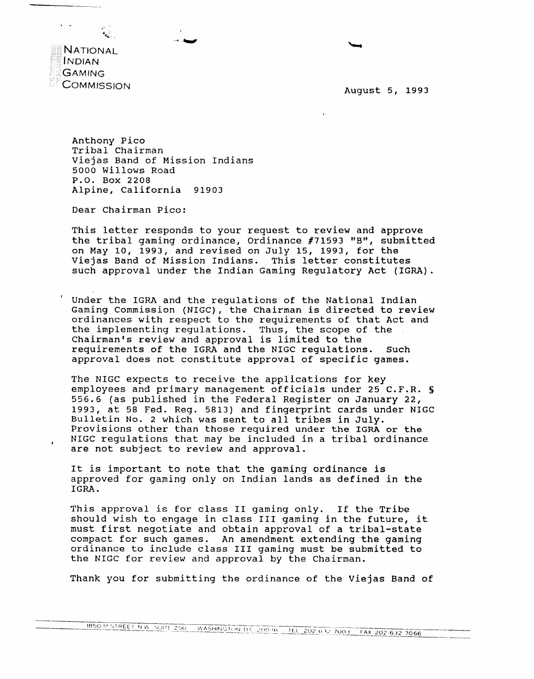

**NATIONAL INDIAN GAMING COMMISSION** 

> Anthony Pico Tribal Chairman Viejas Band of Mission Indians 5000 Willows Road P.O. Box 2208 Alpine, California 91903

Dear Chairman Pico:

This letter responds to your request to review and approve the tribal gaming ordinance, Ordinance #71593 "B", submitted on May 10, 1993, and revised on July 15, 1993, for the Viejas Band of Mission Indians. This letter constitutes such approval under the Indian Gaming Regulatory Act (IGRA).

Under the IGRA and the regulations of the National Indian Gaming Commission (NIGC), the Chairman is directed to review ordinances with respect to the requirements of that Act and the implementing regulations. Thus, the scope of the<br>Chairman's review and approval is limited to the requirements of the IGRA and the NIGC regulations. Such approval does not constitute approval of specific games.

The NIGC expects to receive the applications for key employees and primary management officials under 25 C.F.R. § 556.6 (as published in the Federal Register on January 22, 1993, at 58 Fed. Reg. 5813) and fingerprint cards under NIGC Bulletin No. 2 which was sent to all tribes in July. Provisions other than those required under the IGRA or the NIGC regulations that may be included in a tribal ordinance are not subject to review and approval.

It is important to note that the gaming ordinance is approved for gaming only on Indian lands as defined in the IGRA.

This approval is for class II gaming only. If the Tribe should wish to engage in class III gaming in the future, it must first negotiate and obtain approval of a tribal-state compact for such games. An amendment extending the gaming ordinance to include class III gaming must be submitted to the NIGC for review and approval by the Chairman.

Thank you for submitting the ordinance of the Viejas Band of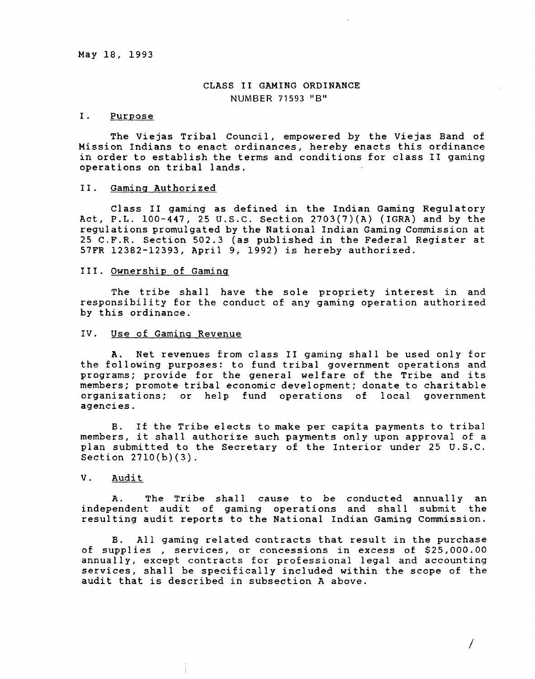# **CLASS II GAMING ORDINANCE NUMBER** 71593 **B**

## **I. Purpose**

**The Viejas Tribal Council, empowered by the Viejas Band of Mission Indians to enact ordinances, hereby enacts this ordinance in order to establish the terms and conditions for class II gaming operations on tribal lands. -**

#### **II. Gaming Authorized**

**Class II gaming as defined in the Indian Gaming Regulatory Act, P.L. 100-447, 25 U.S.C. Section 2703(7)(A) (IGRA) and by the regulations promulgated by the National Indian Gaming Commission at 25 C.F.R. Section 502.3 (as published in the Federal Register at 57FR 1238212393, April 9, 1992) is hereby authorized.**

#### **III. Ownership of Gaming**

**The tribe shall have the sole propriety interest in and responsibility for the conduct of any gaming operation authorized by this ordinance.**

#### **IV. Use of Gaming Revenue**

**A. Net revenues from class II gaming shall be used only for the following purposes: to fund tribal government operations and programs; provide for the general welfare of the Tribe and its members; promote tribal economic development; donate to charitable organizations; or help fund operations of local government agencies.**

**B. If the Tribe elects to make per capita payments to tribal members, it shall authorize such payments only upon approval of <sup>a</sup> plan submitted to the Secretary of the Interior under 25 U.S.C. Section 2710(b)(3).**

## **V. Audit**

**A. The Tribe shall cause to be conducted annually an independent audit of gaming operations and shall submit the resulting audit reports to the National Indian Gaming Commission.**

**B. All gaming related contracts that result in the purchase of supplies , services, or concessions in excess of \$25,000.00 annually, except contracts for professional legal and accounting services, shall be specifically included within the scope of the audit that is described in subsection A above.**

**/**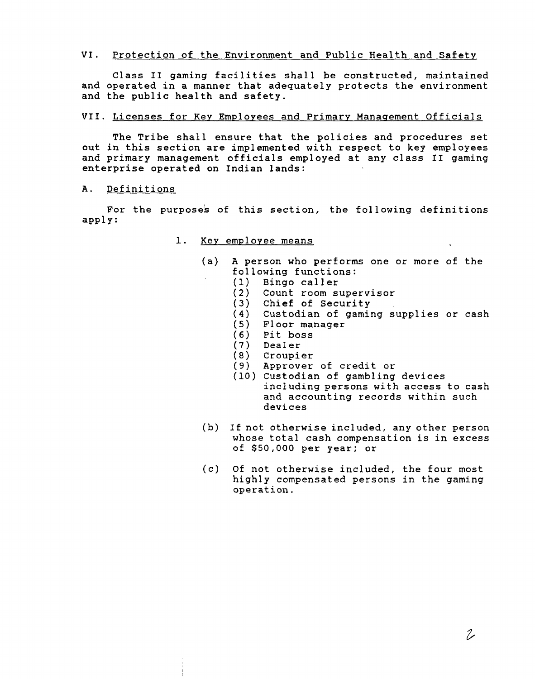## **VI. Protection of the Environment and Public Health and Safety**

**Class II gaming facilities shall be constructed, maintained and operated in <sup>a</sup> manner that adequately protects the environment and the public health and safety.**

# **VII. Licenses for Key Employees and Primary Management Officials**

**The Tribe shall ensure that the policies and procedures set out in this section are implemented with respect to key employees and primary management officials employed at any class II gaming enterprise operated on Indian lands: -**

# **A. Definitions**

**For the purposes of this section, the following definitions apply:**

- **1. Key employee means**
	- **(a) A person who performs one or more of the following functions:**
		- **(1) Bingo caller**
		- **(2) Count room supervisor**
		- **(3) Chief of Security**
		- **(4) Custodian of gaming supplies or cash**
		- **(5) Floor manager**
		- **(6) Pit boss**
		- **(7) Dealer**
		- **(8) Croupier**
		- **(9) Approver of credit or**
		- **(10) Custodian of gambling devices including persons with access to cash and accounting records within such devices**
	- **(b) If not otherwise included, any other person whose total cash compensation is in excess of \$50,000 per year; or**
	- **(c) Of not otherwise included, the four most highly compensated persons in the gaming operation.**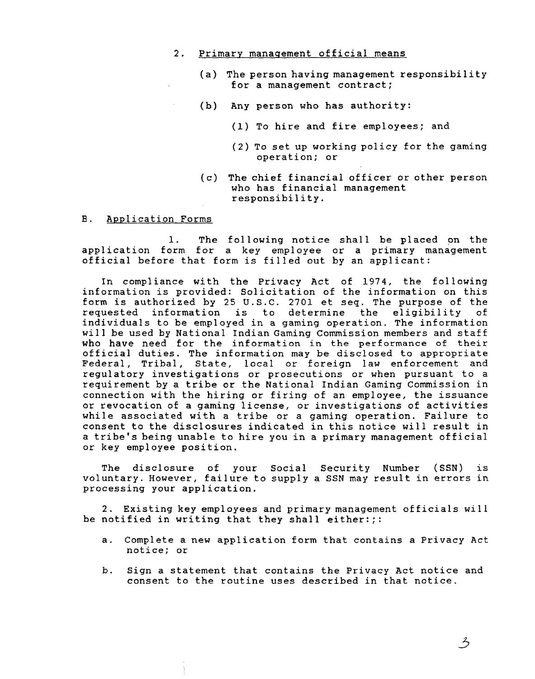### **2. Primary management official means**

- **(a) The person having management responsibility for a management contract;**
- **(b) Any person who has authority:**
	- **(1) To hire and fire employees; and**
	- **(2) To set up working policy for the gaming operation; or**
- **(c) The chief financial officer or other person who has financial management responsibility.**
- **B. ~p~plication Forms**

**1. The following notice shall be placed on the application form for <sup>a</sup> key employee or <sup>a</sup> primary management official before that form is filled out by an applicant:**

**In compliance with the Privacy Act of 1974, the following information is provided: Solicitation of the information on this form is authorized by 25 U.S.C. 2701 et seq. The purpose of the requested information is to determine the eligibility of individuals to be employed in <sup>a</sup> gaming operation. The information will be used by National Indian Gaming Commission members and staff who have need for the information in the performance of their official duties. The information may be disclosed to appropriate Federal, Tribal, State, local or foreign law enforcement and regulatory investigations or prosecutions or when pursuant to <sup>a</sup> requirement by <sup>a</sup> tribe or the National Indian Gaming Commission in connection with the hiring or firing of an employee, the issuance or revocation of a gaming license, or investigations of activities while associated with <sup>a</sup> tribe or <sup>a</sup> gaming operation. Failure to consent to the disclosures indicated in this notice will result in <sup>a</sup> tribes being unable to hire you in <sup>a</sup> primary management official or key employee position.**

**The disclosure of your Social Security Number (SSN) is voluntary. However, failure to supply <sup>a</sup> SSN may result in errors in processing your application.**

**2. Existing key employees and primary management officials will be notified in writing that they shall either:;:**

- **a. Complete a new application form that contains a Privacy Act notice; or**
- **b. Sign <sup>a</sup> statement that contains the Privacy Act notice and consent to the routine uses described in that notice.**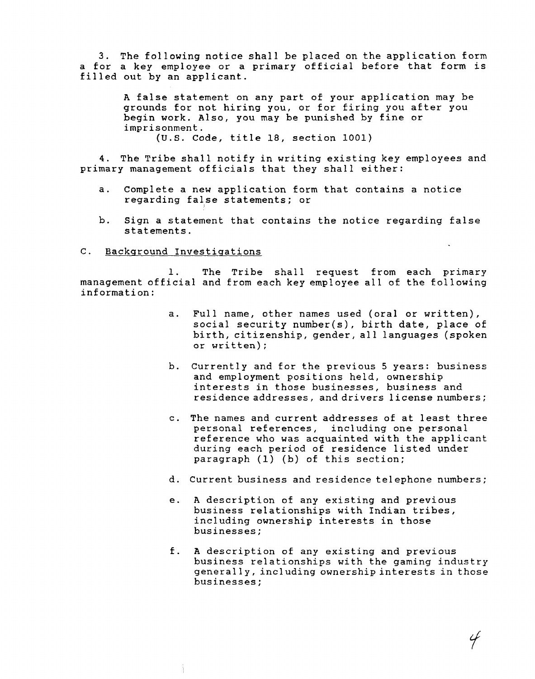**3. The following notice shall be placed on the application form <sup>a</sup> for <sup>a</sup> key employee or <sup>a</sup> primary official before that form is filled out by an applicant.**

> **A false statement on any part of your application may be grounds for not hiring you, or for firing you after you begin work. Also, you may be punished by fine or imprisonment.**

**(U.S. Code, title 18, section 1001)**

**4. The Tribe shall notify in writing existing key employees and primary management officials that they shall either:**

- **a. Complete a new application form that contains <sup>a</sup> notice regarding false statements; or**
- **b. Sign <sup>a</sup> statement that contains the notice regarding false statements.**

#### **C. Background Investigations**

**1. The Tribe shall request from each primary management official and from each key employee all of the following information:**

- **a. Full name, other names used (oral or written), social security number(s), birth date, place of birth, citizenship, gender, all languages (spoken or written);**
- **b. Currently and for the previous <sup>5</sup> years: business and employment positions held, ownership interests in those businesses, business and residence addresses, and drivers license numbers;**
- **c. The names and current addresses of at least three personal references, including one personal reference who was acquainted with the applicant during each period of residence listed under paragraph (1) (b) of this section;**
- **d. Current business and residence telephone numbers;**
- **e. A description of any existing and previous business relationships with Indian tribes, including ownership interests in those businesses;**
- **f. A description of any existing and previous business relationships with the gaming industry generally, including ownership interests in those businesses;**

 $\mathscr{G}$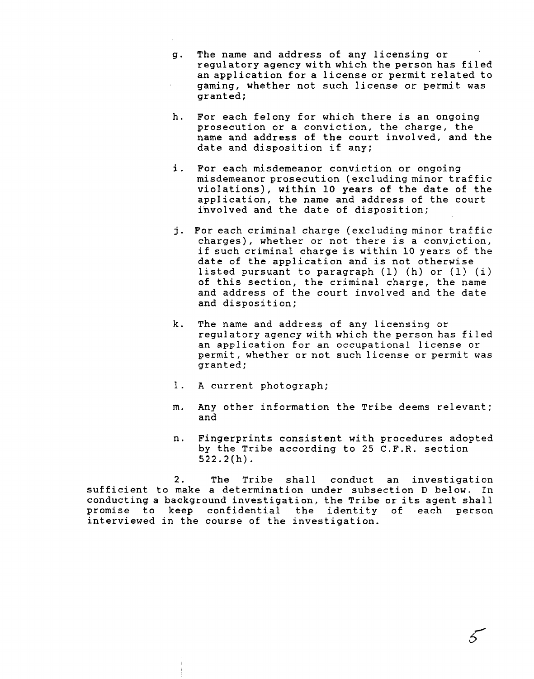- **g. The name and address of any licensing or regulatory agency with which the person has filed an application for a license or permit related to gaming, whether not such license or permit was granted;**
- **h. For each felony for which there is an ongoing prosecution or a conviction, the charge, the name and address of the court involved, and the date and disposition if any;**
- **i. For each misdemeanor conviction or ongoing misdemeanor prosecution (excluding minor traffic violations), within 10 years of the date of the application, the name and address of the court involved and the date of disposition;**
- **j. For each criminal charge (excluding minor traffic charges), whether or not there is <sup>a</sup> conviction, if such criminal charge is within 10 years of the date of the application and is not otherwise listed pursuant to paragraph (1) (h) or (1) (i) of this section, the criminal charge, the name and address of the court involved and the date and disposition;**
- **k. The name and address of any licensing or regulatory agency with which the person has filed an application for an occupational license or permit, whether or not such license or permit was granted;**
- **1. A current photograph;**
- **m. Any other information the Tribe deems relevant; and**
- **n. Fingerprints consistent with procedures adopted by the Tribe according to 25 C.F.R. section 522.2(h).**

**2. The Tribe shall conduct an investigation sufficient to make a determination under subsection D below. In conducting <sup>a</sup> background investigation, the Tribe or its agent shall promise to keep confidential the identity of each person interviewed in the course of the investigation.**

 $\mathcal{E}$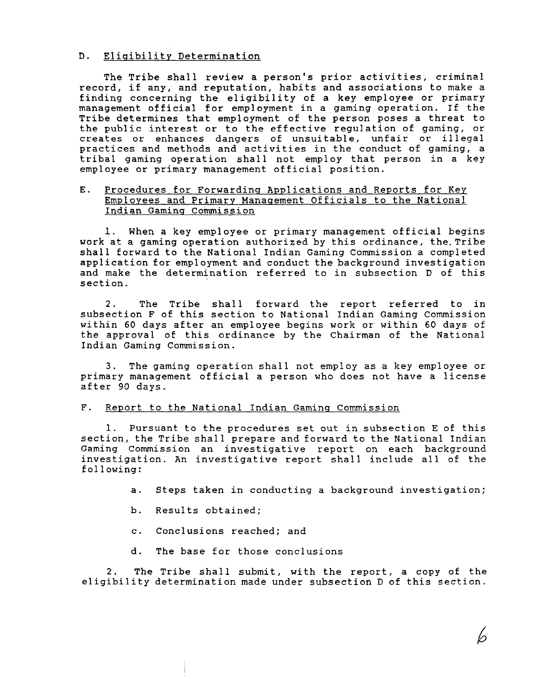## **D. Eligibility Determination**

**The Tribe shall review a person's prior activities, criminal record, if any, and reputation, habits and associations to make <sup>a</sup> finding concerning the eligibility of a key employee or primary management official for employment in a gaming operation. If the Tribe determines that employment of the person poses <sup>a</sup> threat to the public interest or to the effective regulation of gaming, or creates or enhances dangers of unsuitable, unfair or illegal practices and methods and activities in the conduct of gaming, a tribal gaming operation shall not employ that person in <sup>a</sup> key employee or primary management official position.**

## **E. Procedures for Forwarding Applications and Reports for Key Employees and Primary Management Officials to the National Indian Gaming Commission**

**1. When <sup>a</sup> key employee or primary management official begins work at a gaming operation authorized by this ordinance, the. Tribe shall forward to the National Indian Gaming Commission <sup>a</sup> completed application for employment and conduct the background investigation and make the determination referred to in subsection D of this section.**

**2. The Tribe shall forward the report referred to in subsection F of this section to National Indian Gaming Commission within 60 days after an employee begins work or within 60 days of the approval of this ordinance by the Chairman of the National Indian Gaming Commission.**

**3. The gaming operation shall not employ as <sup>a</sup> key employee or primary management official <sup>a</sup> person who does not have <sup>a</sup> license after 90 days.**

## **F. Report to the National Indian Gaming Commission**

**1. Pursuant to the procedures set out in subsection E of this section, the Tribe shall prepare and forward to the National Indian Gaming Commission an investigative report on each background investigation. An investigative report shall include all of the fol lowing:**

**a. Steps taken in conducting a background investigation;**

- **b. Results obtained;**
- **c. Conclusions reached; and**
- **d. The base for those conclusions**

**2. The Tribe shall submit, with the report, <sup>a</sup> copy of the eligibility determination made under subsection D of this section.**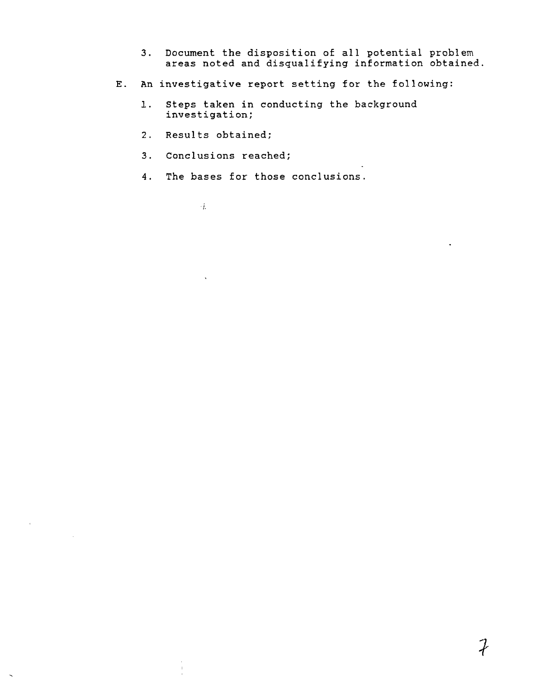- **3. Document the disposition of all potential problem areas noted and disqualifying information obtained.**
- **E. An investigative report setting for the following:**
	- **1. Steps taken in conducting the background investigation;**
	- **2. Results obtained;**
	- **3. Conclusions reached;**
	- **4. The bases for those conclusions.**
		- $\cdot k$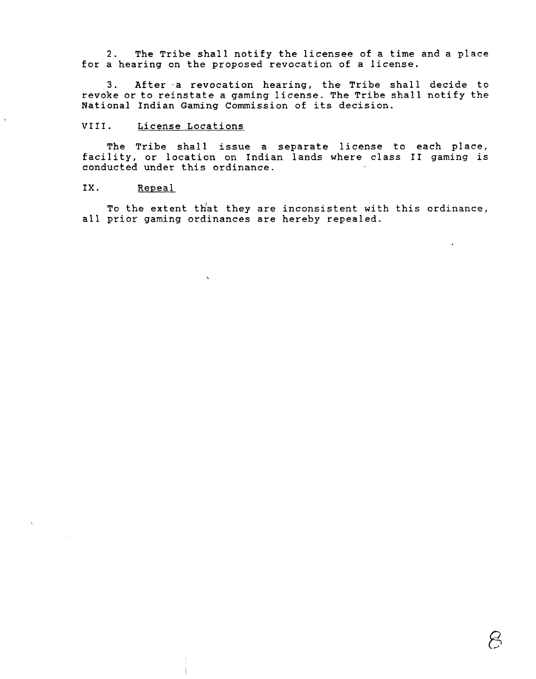**2. The Tribe shall notify the licensee of a time and <sup>a</sup> place for <sup>a</sup> hearing on the proposed revocation of <sup>a</sup> license.**

**3. After a revocation hearing, the Tribe shall decide to revoke or to reinstate <sup>a</sup> gaming license. The Tribe shall notify the National Indian Gaming Commission of its decision.**

### **VIII. License Locations**

 $\ddot{\phantom{a}}$ 

**The Tribe shall issue <sup>a</sup> separate license to each place, facility, or location on Indian lands where class II gaming is conducted under this ordinance.**

# **IX. Repeal**

**To the extent t}~at they are inconsistent with this ordinance, all prior gaming ordinances are hereby repealed.**